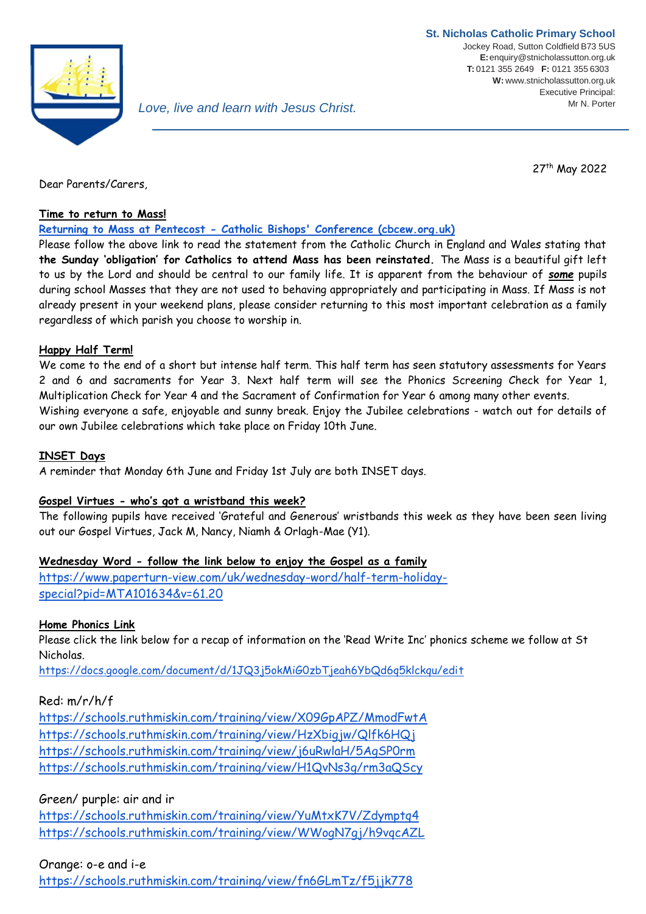

27th May 2022

Dear Parents/Carers,

### **Time to return to Mass!**

**Returning to Mass at Pentecost - [Catholic Bishops' Conference \(cbcew.org.uk\)](https://www.cbcew.org.uk/spring-plenary-2022-resolution-returning-to-mass-at-pentecost/)**

Please follow the above link to read the statement from the Catholic Church in England and Wales stating that **the Sunday 'obligation' for Catholics to attend Mass has been reinstated.** The Mass is a beautiful gift left to us by the Lord and should be central to our family life. It is apparent from the behaviour of *some* pupils during school Masses that they are not used to behaving appropriately and participating in Mass. If Mass is not already present in your weekend plans, please consider returning to this most important celebration as a family regardless of which parish you choose to worship in.

### **Happy Half Term!**

We come to the end of a short but intense half term. This half term has seen statutory assessments for Years 2 and 6 and sacraments for Year 3. Next half term will see the Phonics Screening Check for Year 1, Multiplication Check for Year 4 and the Sacrament of Confirmation for Year 6 among many other events. Wishing everyone a safe, enjoyable and sunny break. Enjoy the Jubilee celebrations - watch out for details of our own Jubilee celebrations which take place on Friday 10th June.

### **INSET Days**

A reminder that Monday 6th June and Friday 1st July are both INSET days.

## **Gospel Virtues - who's got a wristband this week?**

The following pupils have received 'Grateful and Generous' wristbands this week as they have been seen living out our Gospel Virtues, Jack M, Nancy, Niamh & Orlagh-Mae (Y1).

## **Wednesday Word - follow the link below to enjoy the Gospel as a family**

[https://www.paperturn-view.com/uk/wednesday-word/half-term-holiday](https://www.paperturn-view.com/uk/wednesday-word/half-term-holiday-special?pid=MTA101634&v=61.20)[special?pid=MTA101634&v=61.20](https://www.paperturn-view.com/uk/wednesday-word/half-term-holiday-special?pid=MTA101634&v=61.20)

## **Home Phonics Link**

Please click the link below for a recap of information on the 'Read Write Inc' phonics scheme we follow at St Nicholas.

<https://docs.google.com/document/d/1JQ3j5okMiG0zbTjeah6YbQd6q5klckqu/edit>

## Red: m/r/h/f

<https://schools.ruthmiskin.com/training/view/X09GpAPZ/MmodFwtA> <https://schools.ruthmiskin.com/training/view/HzXbigjw/Qlfk6HQj> <https://schools.ruthmiskin.com/training/view/j6uRwlaH/5AgSP0rm> <https://schools.ruthmiskin.com/training/view/H1QvNs3g/rm3aQScy>

# Green/ purple: air and ir

<https://schools.ruthmiskin.com/training/view/YuMtxK7V/Zdymptq4> <https://schools.ruthmiskin.com/training/view/WWogN7gj/h9vqcAZL>

## Orange: o-e and i-e

<https://schools.ruthmiskin.com/training/view/fn6GLmTz/f5jjk778>